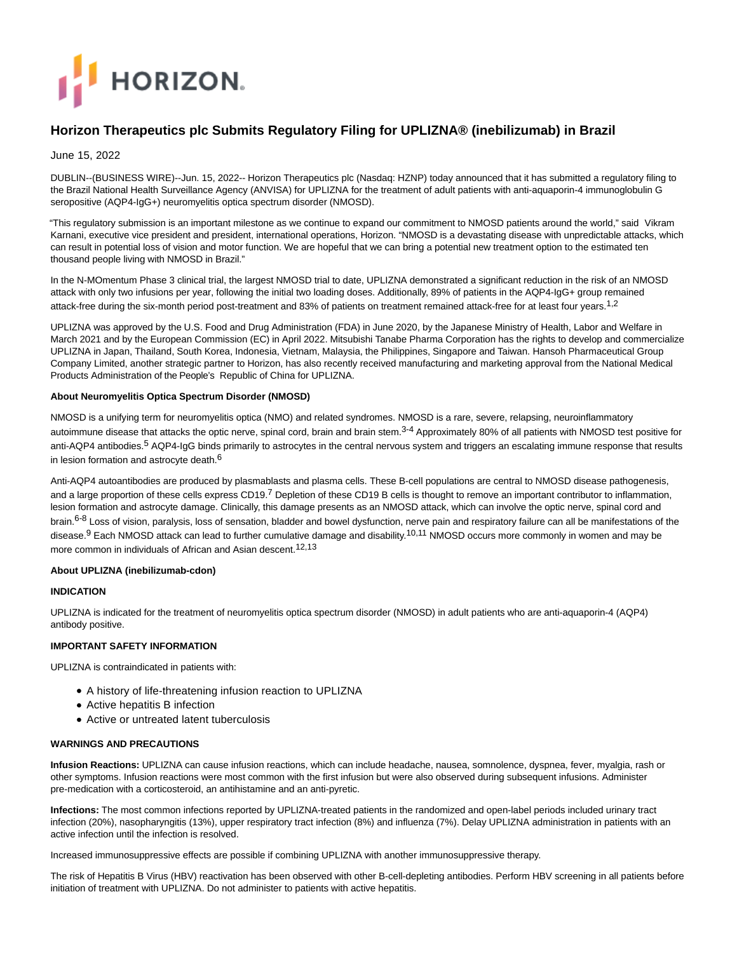

# **Horizon Therapeutics plc Submits Regulatory Filing for UPLIZNA® (inebilizumab) in Brazil**

## June 15, 2022

DUBLIN--(BUSINESS WIRE)--Jun. 15, 2022-- Horizon Therapeutics plc (Nasdaq: HZNP) today announced that it has submitted a regulatory filing to the Brazil National Health Surveillance Agency (ANVISA) for UPLIZNA for the treatment of adult patients with anti-aquaporin-4 immunoglobulin G seropositive (AQP4-IgG+) neuromyelitis optica spectrum disorder (NMOSD).

"This regulatory submission is an important milestone as we continue to expand our commitment to NMOSD patients around the world," said Vikram Karnani, executive vice president and president, international operations, Horizon. "NMOSD is a devastating disease with unpredictable attacks, which can result in potential loss of vision and motor function. We are hopeful that we can bring a potential new treatment option to the estimated ten thousand people living with NMOSD in Brazil."

In the N-MOmentum Phase 3 clinical trial, the largest NMOSD trial to date, UPLIZNA demonstrated a significant reduction in the risk of an NMOSD attack with only two infusions per year, following the initial two loading doses. Additionally, 89% of patients in the AQP4-IgG+ group remained attack-free during the six-month period post-treatment and 83% of patients on treatment remained attack-free for at least four years.<sup>1,2</sup>

UPLIZNA was approved by the U.S. Food and Drug Administration (FDA) in June 2020, by the Japanese Ministry of Health, Labor and Welfare in March 2021 and by the European Commission (EC) in April 2022. Mitsubishi Tanabe Pharma Corporation has the rights to develop and commercialize UPLIZNA in Japan, Thailand, South Korea, Indonesia, Vietnam, Malaysia, the Philippines, Singapore and Taiwan. Hansoh Pharmaceutical Group Company Limited, another strategic partner to Horizon, has also recently received manufacturing and marketing approval from the National Medical Products Administration of the People's Republic of China for UPLIZNA.

### **About Neuromyelitis Optica Spectrum Disorder (NMOSD)**

NMOSD is a unifying term for neuromyelitis optica (NMO) and related syndromes. NMOSD is a rare, severe, relapsing, neuroinflammatory autoimmune disease that attacks the optic nerve, spinal cord, brain and brain stem.<sup>3-4</sup> Approximately 80% of all patients with NMOSD test positive for anti-AQP4 antibodies.<sup>5</sup> AQP4-IgG binds primarily to astrocytes in the central nervous system and triggers an escalating immune response that results in lesion formation and astrocyte death.<sup>6</sup>

Anti-AQP4 autoantibodies are produced by plasmablasts and plasma cells. These B-cell populations are central to NMOSD disease pathogenesis, and a large proportion of these cells express CD19.7 Depletion of these CD19 B cells is thought to remove an important contributor to inflammation, lesion formation and astrocyte damage. Clinically, this damage presents as an NMOSD attack, which can involve the optic nerve, spinal cord and brain.<sup>6-8</sup> Loss of vision, paralysis, loss of sensation, bladder and bowel dysfunction, nerve pain and respiratory failure can all be manifestations of the disease.<sup>9</sup> Each NMOSD attack can lead to further cumulative damage and disability.<sup>10,11</sup> NMOSD occurs more commonly in women and may be more common in individuals of African and Asian descent.<sup>12,13</sup>

## **About UPLIZNA (inebilizumab-cdon)**

### **INDICATION**

UPLIZNA is indicated for the treatment of neuromyelitis optica spectrum disorder (NMOSD) in adult patients who are anti-aquaporin-4 (AQP4) antibody positive.

### **IMPORTANT SAFETY INFORMATION**

UPLIZNA is contraindicated in patients with:

- A history of life-threatening infusion reaction to UPLIZNA
- Active hepatitis B infection
- Active or untreated latent tuberculosis

### **WARNINGS AND PRECAUTIONS**

**Infusion Reactions:** UPLIZNA can cause infusion reactions, which can include headache, nausea, somnolence, dyspnea, fever, myalgia, rash or other symptoms. Infusion reactions were most common with the first infusion but were also observed during subsequent infusions. Administer pre-medication with a corticosteroid, an antihistamine and an anti-pyretic.

**Infections:** The most common infections reported by UPLIZNA-treated patients in the randomized and open-label periods included urinary tract infection (20%), nasopharyngitis (13%), upper respiratory tract infection (8%) and influenza (7%). Delay UPLIZNA administration in patients with an active infection until the infection is resolved.

Increased immunosuppressive effects are possible if combining UPLIZNA with another immunosuppressive therapy.

The risk of Hepatitis B Virus (HBV) reactivation has been observed with other B-cell-depleting antibodies. Perform HBV screening in all patients before initiation of treatment with UPLIZNA. Do not administer to patients with active hepatitis.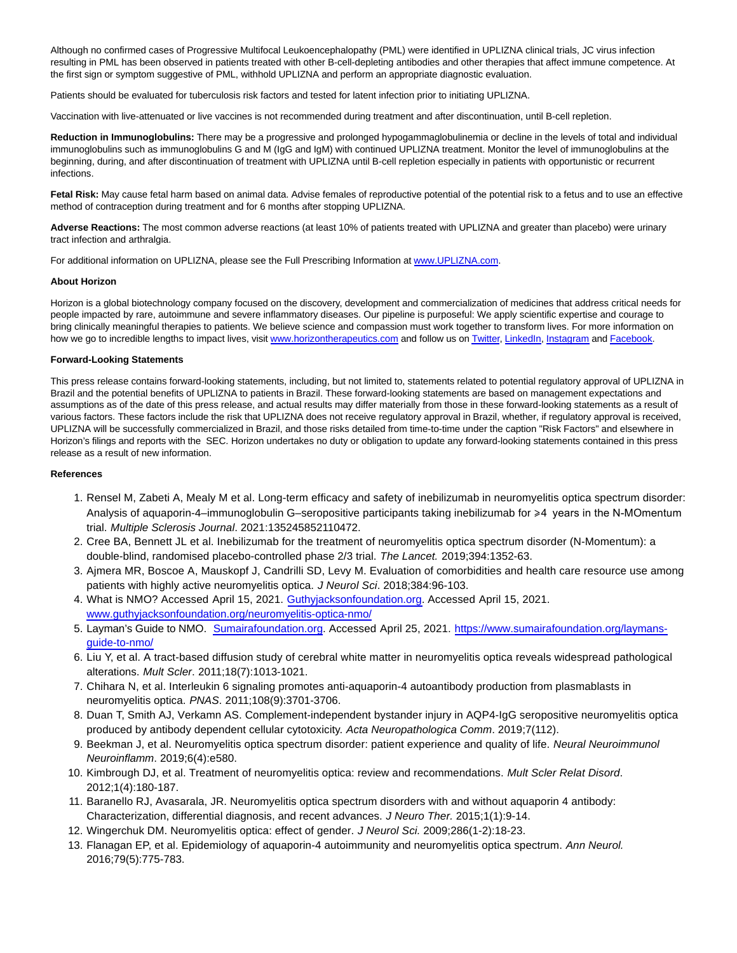Although no confirmed cases of Progressive Multifocal Leukoencephalopathy (PML) were identified in UPLIZNA clinical trials, JC virus infection resulting in PML has been observed in patients treated with other B-cell-depleting antibodies and other therapies that affect immune competence. At the first sign or symptom suggestive of PML, withhold UPLIZNA and perform an appropriate diagnostic evaluation.

Patients should be evaluated for tuberculosis risk factors and tested for latent infection prior to initiating UPLIZNA.

Vaccination with live-attenuated or live vaccines is not recommended during treatment and after discontinuation, until B-cell repletion.

**Reduction in Immunoglobulins:** There may be a progressive and prolonged hypogammaglobulinemia or decline in the levels of total and individual immunoglobulins such as immunoglobulins G and M (IgG and IgM) with continued UPLIZNA treatment. Monitor the level of immunoglobulins at the beginning, during, and after discontinuation of treatment with UPLIZNA until B-cell repletion especially in patients with opportunistic or recurrent infections.

Fetal Risk: May cause fetal harm based on animal data. Advise females of reproductive potential of the potential risk to a fetus and to use an effective method of contraception during treatment and for 6 months after stopping UPLIZNA.

**Adverse Reactions:** The most common adverse reactions (at least 10% of patients treated with UPLIZNA and greater than placebo) were urinary tract infection and arthralgia.

For additional information on UPLIZNA, please see the Full Prescribing Information at [www.UPLIZNA.com.](https://cts.businesswire.com/ct/CT?id=smartlink&url=http%3A%2F%2Fwww.UPLIZNA.com&esheet=52749901&newsitemid=20220615005234&lan=en-US&anchor=www.UPLIZNA.com&index=1&md5=b6a5bc2ad6d617782d38ca102e01b398)

#### **About Horizon**

Horizon is a global biotechnology company focused on the discovery, development and commercialization of medicines that address critical needs for people impacted by rare, autoimmune and severe inflammatory diseases. Our pipeline is purposeful: We apply scientific expertise and courage to bring clinically meaningful therapies to patients. We believe science and compassion must work together to transform lives. For more information on how we go to incredible lengths to impact lives, visit [www.horizontherapeutics.com a](https://cts.businesswire.com/ct/CT?id=smartlink&url=http%3A%2F%2Fwww.horizontherapeutics.com&esheet=52749901&newsitemid=20220615005234&lan=en-US&anchor=www.horizontherapeutics.com&index=2&md5=20fc71abf4574d87609591218d84e9a4)nd follow us o[n Twitter,](https://cts.businesswire.com/ct/CT?id=smartlink&url=https%3A%2F%2Ftwitter.com%2FHorizonNews&esheet=52749901&newsitemid=20220615005234&lan=en-US&anchor=Twitter&index=3&md5=532d3b29405658deadacdfcd0357b96e) [LinkedIn,](https://cts.businesswire.com/ct/CT?id=smartlink&url=https%3A%2F%2Fwww.linkedin.com%2Fcompany%2Fhorizontherapeutics&esheet=52749901&newsitemid=20220615005234&lan=en-US&anchor=LinkedIn&index=4&md5=664fb00bee9a371984d887d2e8a232c2) [Instagram a](https://cts.businesswire.com/ct/CT?id=smartlink&url=https%3A%2F%2Fwww.instagram.com%2Fhorizontherapeutics%2F&esheet=52749901&newsitemid=20220615005234&lan=en-US&anchor=Instagram&index=5&md5=8c8905b278e5e6adaabc572b07a8a2f8)nd [Facebook.](https://cts.businesswire.com/ct/CT?id=smartlink&url=https%3A%2F%2Fwww.facebook.com%2FHorizonTherapeutics%2F&esheet=52749901&newsitemid=20220615005234&lan=en-US&anchor=Facebook&index=6&md5=d8a9c4b86b204465ae71490e42fe603f)

# **Forward-Looking Statements**

This press release contains forward-looking statements, including, but not limited to, statements related to potential regulatory approval of UPLIZNA in Brazil and the potential benefits of UPLIZNA to patients in Brazil. These forward-looking statements are based on management expectations and assumptions as of the date of this press release, and actual results may differ materially from those in these forward-looking statements as a result of various factors. These factors include the risk that UPLIZNA does not receive regulatory approval in Brazil, whether, if regulatory approval is received, UPLIZNA will be successfully commercialized in Brazil, and those risks detailed from time-to-time under the caption "Risk Factors" and elsewhere in Horizon's filings and reports with the SEC. Horizon undertakes no duty or obligation to update any forward-looking statements contained in this press release as a result of new information.

#### **References**

- 1. Rensel M, Zabeti A, Mealy M et al. Long-term efficacy and safety of inebilizumab in neuromyelitis optica spectrum disorder: Analysis of aquaporin-4–immunoglobulin G–seropositive participants taking inebilizumab for ≥4 years in the N-MOmentum trial. Multiple Sclerosis Journal. 2021:135245852110472.
- 2. Cree BA, Bennett JL et al. Inebilizumab for the treatment of neuromyelitis optica spectrum disorder (N-Momentum): a double-blind, randomised placebo-controlled phase 2/3 trial. The Lancet. 2019;394:1352-63.
- 3. Ajmera MR, Boscoe A, Mauskopf J, Candrilli SD, Levy M. Evaluation of comorbidities and health care resource use among patients with highly active neuromyelitis optica. J Neurol Sci. 2018;384:96-103.
- 4. What is NMO? Accessed April 15, 2021. [Guthyjacksonfoundation.org.](http://guthyjacksonfoundation.org/) Accessed April 15, 2021. [www.guthyjacksonfoundation.org/neuromyelitis-optica-nmo/](https://cts.businesswire.com/ct/CT?id=smartlink&url=http%3A%2F%2Fwww.guthyjacksonfoundation.org%2Fneuromyelitis-optica-nmo%2F&esheet=52749901&newsitemid=20220615005234&lan=en-US&anchor=www.guthyjacksonfoundation.org%2Fneuromyelitis-optica-nmo%2F&index=7&md5=34128200543d95c25b654b11ad3e4476)
- 5. Layman's Guide to NMO. [Sumairafoundation.org.](http://sumairafoundation.org/) Accessed April 25, 2021. [https://www.sumairafoundation.org/laymans](https://cts.businesswire.com/ct/CT?id=smartlink&url=https%3A%2F%2Fwww.sumairafoundation.org%2Flaymans-guide-to-nmo%2F&esheet=52749901&newsitemid=20220615005234&lan=en-US&anchor=https%3A%2F%2Fwww.sumairafoundation.org%2Flaymans-guide-to-nmo%2F&index=8&md5=26ec65090f0a8e5f9dd11d58fa8f3541)guide-to-nmo/
- 6. Liu Y, et al. A tract-based diffusion study of cerebral white matter in neuromyelitis optica reveals widespread pathological alterations. Mult Scler. 2011;18(7):1013-1021.
- Chihara N, et al. Interleukin 6 signaling promotes anti-aquaporin-4 autoantibody production from plasmablasts in 7. neuromyelitis optica. PNAS. 2011;108(9):3701-3706.
- 8. Duan T, Smith AJ, Verkamn AS. Complement-independent bystander injury in AQP4-IgG seropositive neuromyelitis optica produced by antibody dependent cellular cytotoxicity. Acta Neuropathologica Comm. 2019;7(112).
- 9. Beekman J, et al. Neuromyelitis optica spectrum disorder: patient experience and quality of life. Neural Neuroimmunol Neuroinflamm. 2019;6(4):e580.
- 10. Kimbrough DJ, et al. Treatment of neuromyelitis optica: review and recommendations. Mult Scler Relat Disord. 2012;1(4):180-187.
- 11. Baranello RJ, Avasarala, JR. Neuromyelitis optica spectrum disorders with and without aquaporin 4 antibody: Characterization, differential diagnosis, and recent advances. J Neuro Ther. 2015;1(1):9-14.
- 12. Wingerchuk DM. Neuromyelitis optica: effect of gender. J Neurol Sci. 2009;286(1-2):18-23.
- 13. Flanagan EP, et al. Epidemiology of aquaporin-4 autoimmunity and neuromyelitis optica spectrum. Ann Neurol. 2016;79(5):775-783.